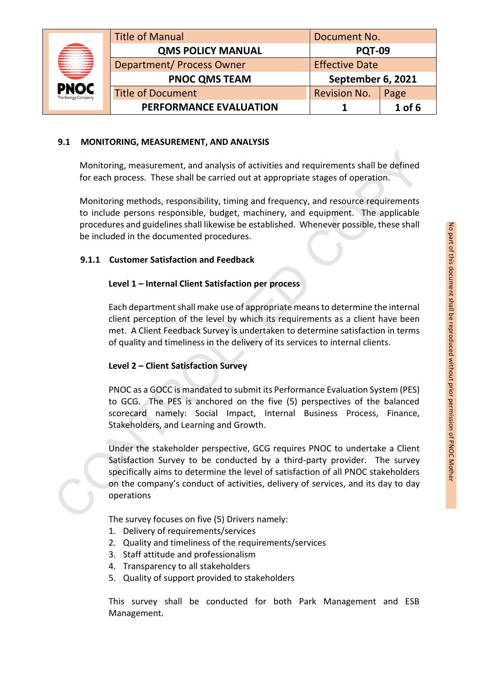|  |                                        | <b>Title of Manual</b>           | Document No.          |          |
|--|----------------------------------------|----------------------------------|-----------------------|----------|
|  | ≡<br><b>PNOC</b><br>The Energy Company | <b>QMS POLICY MANUAL</b>         | <b>PQT-09</b>         |          |
|  |                                        | <b>Department/ Process Owner</b> | <b>Effective Date</b> |          |
|  |                                        | <b>PNOC QMS TEAM</b>             | September 6, 2021     |          |
|  |                                        | <b>Title of Document</b>         | <b>Revision No.</b>   | Page     |
|  |                                        | PERFORMANCE EVALUATION           |                       | $1$ of 6 |

## **9.1 MONITORING, MEASUREMENT, AND ANALYSIS**

Monitoring, measurement, and analysis of activities and requirements shall be defined for each process. These shall be carried out at appropriate stages of operation.

Monitoring methods, responsibility, timing and frequency, and resource requirements to include persons responsible, budget, machinery, and equipment. The applicable procedures and guidelines shall likewise be established. Whenever possible, these shall be included in the documented procedures.

### **9.1.1 Customer Satisfaction and Feedback**

### **Level 1 – Internal Client Satisfaction per process**

Each department shall make use of appropriate means to determine the internal client perception of the level by which its requirements as a client have been met. A Client Feedback Survey is undertaken to determine satisfaction in terms of quality and timeliness in the delivery of its services to internal clients.

## **Level 2 – Client Satisfaction Survey**

PNOC as a GOCC is mandated to submit its Performance Evaluation System (PES) to GCG. The PES is anchored on the five (5) perspectives of the balanced scorecard namely: Social Impact, Internal Business Process, Finance, Stakeholders, and Learning and Growth.

Under the stakeholder perspective, GCG requires PNOC to undertake a Client Satisfaction Survey to be conducted by a third-party provider. The survey specifically aims to determine the level of satisfaction of all PNOC stakeholders on the company's conduct of activities, delivery of services, and its day to day operations Monitoring, measurement, and analysis of activities and requirements shall be defined<br>for each process. These shall be carried out at appropriate stages of operation.<br>Monitoring methods, responsibility, timing and frequenc

The survey focuses on five (5) Drivers namely:

- 1. Delivery of requirements/services
- 2. Quality and timeliness of the requirements/services
- 3. Staff attitude and professionalism
- 4. Transparency to all stakeholders
- 5. Quality of support provided to stakeholders

This survey shall be conducted for both Park Management and ESB Management.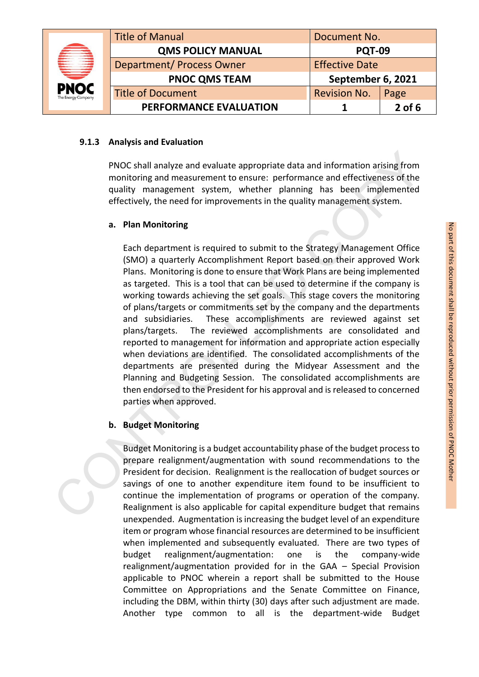|                                   | <b>Title of Manual</b>           | Document No.          |          |
|-----------------------------------|----------------------------------|-----------------------|----------|
|                                   | <b>QMS POLICY MANUAL</b>         | <b>PQT-09</b>         |          |
|                                   | <b>Department/ Process Owner</b> | <b>Effective Date</b> |          |
| ═                                 | <b>PNOC QMS TEAM</b>             | September 6, 2021     |          |
| <b>PNOC</b><br>The Energy Company | <b>Title of Document</b>         | <b>Revision No.</b>   | Page     |
|                                   | PERFORMANCE EVALUATION           |                       | $2$ of 6 |

### **9.1.3 Analysis and Evaluation**

PNOC shall analyze and evaluate appropriate data and information arising from monitoring and measurement to ensure: performance and effectiveness of the quality management system, whether planning has been implemented effectively, the need for improvements in the quality management system.

### **a. Plan Monitoring**

Each department is required to submit to the Strategy Management Office (SMO) a quarterly Accomplishment Report based on their approved Work Plans. Monitoring is done to ensure that Work Plans are being implemented as targeted. This is a tool that can be used to determine if the company is working towards achieving the set goals. This stage covers the monitoring of plans/targets or commitments set by the company and the departments and subsidiaries. These accomplishments are reviewed against set plans/targets. The reviewed accomplishments are consolidated and reported to management for information and appropriate action especially when deviations are identified. The consolidated accomplishments of the departments are presented during the Midyear Assessment and the Planning and Budgeting Session. The consolidated accomplishments are then endorsed to the President for his approval and is released to concerned parties when approved. **PNOC shall analyze and evaluate appropriate data and information arising from<br>monitoring and measurement to ensure: performance and effectiveness of the<br>quality management system, whether planning has been implemented<br>eff** 

## **b. Budget Monitoring**

Budget Monitoring is a budget accountability phase of the budget process to prepare realignment/augmentation with sound recommendations to the President for decision. Realignment is the reallocation of budget sources or savings of one to another expenditure item found to be insufficient to continue the implementation of programs or operation of the company. Realignment is also applicable for capital expenditure budget that remains unexpended. Augmentation is increasing the budget level of an expenditure item or program whose financial resources are determined to be insufficient when implemented and subsequently evaluated. There are two types of budget realignment/augmentation: one is the company-wide realignment/augmentation provided for in the GAA – Special Provision applicable to PNOC wherein a report shall be submitted to the House Committee on Appropriations and the Senate Committee on Finance, including the DBM, within thirty (30) days after such adjustment are made. Another type common to all is the department-wide Budget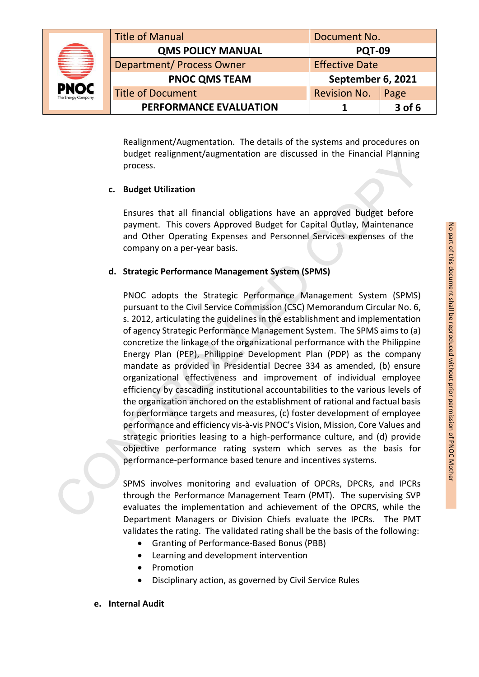|                                   | <b>Title of Manual</b><br>Document No. |                       |          |
|-----------------------------------|----------------------------------------|-----------------------|----------|
|                                   | <b>QMS POLICY MANUAL</b>               | <b>PQT-09</b>         |          |
|                                   | <b>Department/ Process Owner</b>       | <b>Effective Date</b> |          |
| ⋿                                 | <b>PNOC QMS TEAM</b>                   | September 6, 2021     |          |
| <b>PNOC</b><br>The Energy Company | <b>Title of Document</b>               | <b>Revision No.</b>   | Page     |
|                                   | <b>PERFORMANCE EVALUATION</b>          |                       | $3$ of 6 |

Realignment/Augmentation. The details of the systems and procedures on budget realignment/augmentation are discussed in the Financial Planning process.

## **c. Budget Utilization**

Ensures that all financial obligations have an approved budget before payment. This covers Approved Budget for Capital Outlay, Maintenance and Other Operating Expenses and Personnel Services expenses of the company on a per-year basis.

# **d. Strategic Performance Management System (SPMS)**

PNOC adopts the Strategic Performance Management System (SPMS) pursuant to the Civil Service Commission (CSC) Memorandum Circular No. 6, s. 2012, articulating the guidelines in the establishment and implementation of agency Strategic Performance Management System. The SPMS aims to (a) concretize the linkage of the organizational performance with the Philippine Energy Plan (PEP), Philippine Development Plan (PDP) as the company mandate as provided in Presidential Decree 334 as amended, (b) ensure organizational effectiveness and improvement of individual employee efficiency by cascading institutional accountabilities to the various levels of the organization anchored on the establishment of rational and factual basis for performance targets and measures, (c) foster development of employee performance and efficiency vis-à-vis PNOC's Vision, Mission, Core Values and strategic priorities leasing to a high-performance culture, and (d) provide objective performance rating system which serves as the basis for performance-performance based tenure and incentives systems. budget realignment/augmentation are discussed in the Financial Planning<br>process.<br> **C.** Budget Utilization<br>
Ensures that all financial obligations have an approved budget before<br>
Ensures that all financial obligations have

SPMS involves monitoring and evaluation of OPCRs, DPCRs, and IPCRs through the Performance Management Team (PMT). The supervising SVP evaluates the implementation and achievement of the OPCRS, while the Department Managers or Division Chiefs evaluate the IPCRs. The PMT validates the rating. The validated rating shall be the basis of the following:

- Granting of Performance-Based Bonus (PBB)
- Learning and development intervention
- Promotion
- Disciplinary action, as governed by Civil Service Rules

#### **e. Internal Audit**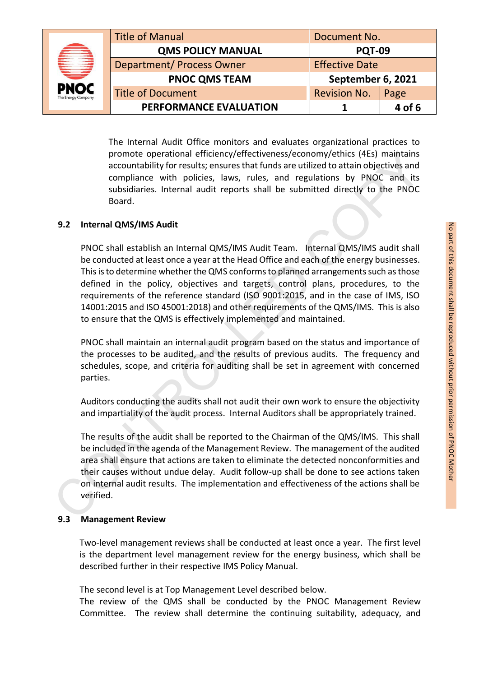|  |                                        | <b>Title of Manual</b>           | Document No.          |        |
|--|----------------------------------------|----------------------------------|-----------------------|--------|
|  | ₩<br><b>PNOC</b><br>The Energy Company | <b>QMS POLICY MANUAL</b>         | <b>PQT-09</b>         |        |
|  |                                        | <b>Department/ Process Owner</b> | <b>Effective Date</b> |        |
|  |                                        | <b>PNOC QMS TEAM</b>             | September 6, 2021     |        |
|  |                                        | <b>Title of Document</b>         | <b>Revision No.</b>   | Page   |
|  |                                        | PERFORMANCE EVALUATION           |                       | 4 of 6 |

The Internal Audit Office monitors and evaluates organizational practices to promote operational efficiency/effectiveness/economy/ethics (4Es) maintains accountability for results; ensures that funds are utilized to attain objectives and compliance with policies, laws, rules, and regulations by PNOC and its subsidiaries. Internal audit reports shall be submitted directly to the PNOC Board.

### **9.2 Internal QMS/IMS Audit**

PNOC shall establish an Internal QMS/IMS Audit Team. Internal QMS/IMS audit shall be conducted at least once a year at the Head Office and each of the energy businesses. This is to determine whether the QMS conforms to planned arrangements such as those defined in the policy, objectives and targets, control plans, procedures, to the requirements of the reference standard (ISO 9001:2015, and in the case of IMS, ISO 14001:2015 and ISO 45001:2018) and other requirements of the QMS/IMS. This is also to ensure that the QMS is effectively implemented and maintained. promote operational efficiency/effectiveness/economy/ethitis (4Es) maintains<br>accuuntability for results; ensuers that funds are utilized to attain objectives and<br>compliance with policies, laws, rules, and regulations by PN

PNOC shall maintain an internal audit program based on the status and importance of the processes to be audited, and the results of previous audits. The frequency and schedules, scope, and criteria for auditing shall be set in agreement with concerned parties.

Auditors conducting the audits shall not audit their own work to ensure the objectivity and impartiality of the audit process. Internal Auditors shall be appropriately trained.

The results of the audit shall be reported to the Chairman of the QMS/IMS. This shall be included in the agenda of the Management Review. The management of the audited area shall ensure that actions are taken to eliminate the detected nonconformities and their causes without undue delay. Audit follow-up shall be done to see actions taken on internal audit results. The implementation and effectiveness of the actions shall be verified.

#### **9.3 Management Review**

Two-level management reviews shall be conducted at least once a year. The first level is the department level management review for the energy business, which shall be described further in their respective IMS Policy Manual.

The second level is at Top Management Level described below.

The review of the QMS shall be conducted by the PNOC Management Review Committee. The review shall determine the continuing suitability, adequacy, and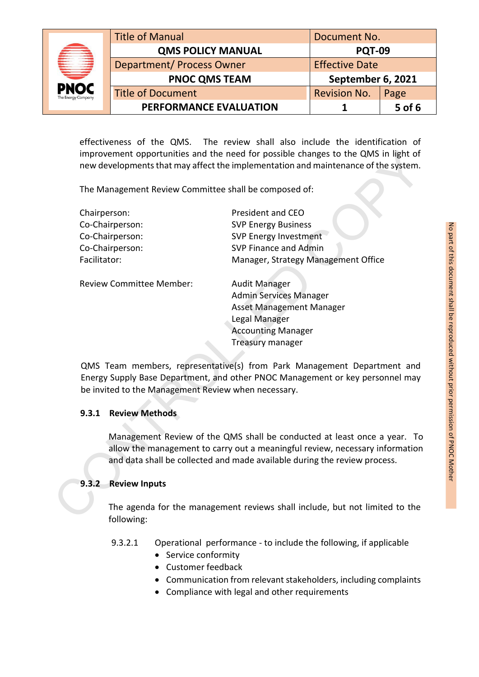|                                   | <b>Title of Manual</b><br>Document No. |                       |          |
|-----------------------------------|----------------------------------------|-----------------------|----------|
|                                   | <b>QMS POLICY MANUAL</b>               | <b>PQT-09</b>         |          |
|                                   | <b>Department/ Process Owner</b>       | <b>Effective Date</b> |          |
| ⋿                                 | <b>PNOC QMS TEAM</b>                   | September 6, 2021     |          |
| <b>PNOC</b><br>The Energy Company | <b>Title of Document</b>               | <b>Revision No.</b>   | Page     |
|                                   | PERFORMANCE EVALUATION                 |                       | $5$ of 6 |

effectiveness of the QMS. The review shall also include the identification of improvement opportunities and the need for possible changes to the QMS in light of new developments that may affect the implementation and maintenance of the system.

| improvement opportunities and the need for possible changes to the QMS in light of<br>new developments that may affect the implementation and maintenance of the system. |                                                                                                                                                                                                                                       |
|--------------------------------------------------------------------------------------------------------------------------------------------------------------------------|---------------------------------------------------------------------------------------------------------------------------------------------------------------------------------------------------------------------------------------|
| The Management Review Committee shall be composed of:                                                                                                                    |                                                                                                                                                                                                                                       |
| Chairperson:                                                                                                                                                             | President and CEO                                                                                                                                                                                                                     |
| Co-Chairperson:                                                                                                                                                          | <b>SVP Energy Business</b>                                                                                                                                                                                                            |
| Co-Chairperson:                                                                                                                                                          | <b>SVP Energy Investment</b>                                                                                                                                                                                                          |
| Co-Chairperson:                                                                                                                                                          | SVP Finance and Admin                                                                                                                                                                                                                 |
| Facilitator:                                                                                                                                                             | Manager, Strategy Management Office                                                                                                                                                                                                   |
| Review Committee Member:                                                                                                                                                 | <b>Audit Manager</b><br><b>Admin Services Manager</b><br>Asset Management Manager<br>Legal Manager<br><b>Accounting Manager</b><br><b>Treasury manager</b><br>QMS Team members, representative(s) from Park Management Department and |
| be invited to the Management Review when necessary.                                                                                                                      | Energy Supply Base Department, and other PNOC Management or key personnel may                                                                                                                                                         |
| 9.3.1<br><b>Review Methods</b>                                                                                                                                           |                                                                                                                                                                                                                                       |
|                                                                                                                                                                          | Management Review of the QMS shall be conducted at least once a year. To<br>allow the management to carry out a meaningful review, necessary information<br>and data shall be collected and made available during the review process. |
| 9.3.2<br><b>Review Inputs</b>                                                                                                                                            |                                                                                                                                                                                                                                       |
| following:                                                                                                                                                               | The agenda for the management reviews shall include, but not limited to the                                                                                                                                                           |

## **9.3.1 Review Methods**

## **9.3.2 Review Inputs**

The agenda for the management reviews shall include, but not limited to the following:

- 9.3.2.1 Operational performance to include the following, if applicable
	- Service conformity
	- Customer feedback
	- Communication from relevant stakeholders, including complaints
	- Compliance with legal and other requirements